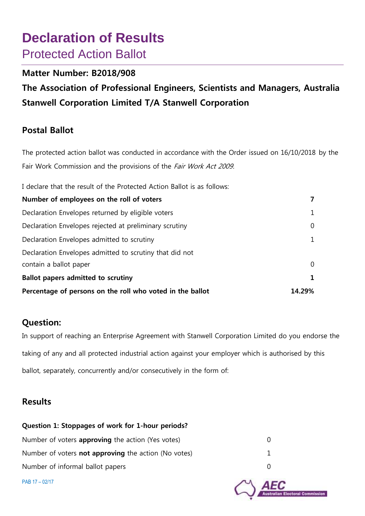# **Declaration of Results**  Protected Action Ballot

### **Matter Number: B2018/908**

**The Association of Professional Engineers, Scientists and Managers, Australia Stanwell Corporation Limited T/A Stanwell Corporation**

### **Postal Ballot**

The protected action ballot was conducted in accordance with the Order issued on 16/10/2018 by the Fair Work Commission and the provisions of the Fair Work Act 2009.

I declare that the result of the Protected Action Ballot is as follows:

| Number of employees on the roll of voters                 | 7              |
|-----------------------------------------------------------|----------------|
| Declaration Envelopes returned by eligible voters         | $\mathbf{1}$   |
| Declaration Envelopes rejected at preliminary scrutiny    | $\overline{0}$ |
| Declaration Envelopes admitted to scrutiny                | $\mathbf{1}$   |
| Declaration Envelopes admitted to scrutiny that did not   |                |
| contain a ballot paper                                    | $\Omega$       |
| Ballot papers admitted to scrutiny                        | 1              |
| Percentage of persons on the roll who voted in the ballot | 14.29%         |

### **Question:**

In support of reaching an Enterprise Agreement with Stanwell Corporation Limited do you endorse the taking of any and all protected industrial action against your employer which is authorised by this ballot, separately, concurrently and/or consecutively in the form of:

### **Results**

# **Question 1: Stoppages of work for 1-hour periods?** Number of voters **approving** the action (Yes votes) 0 Number of voters **not approving** the action (No votes) 1 Number of informal ballot papers 0 PAB 17 – 02/17 toral Commission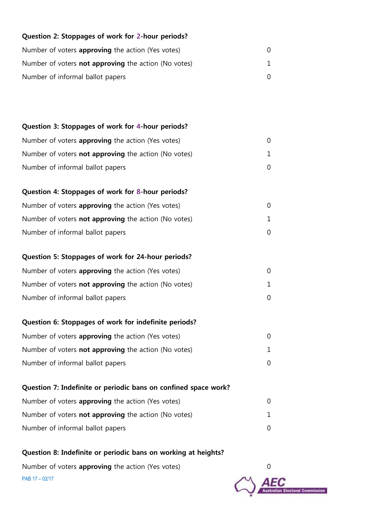| Question 2: Stoppages of work for 2-hour periods?               |          |
|-----------------------------------------------------------------|----------|
| Number of voters approving the action (Yes votes)               | 0        |
| Number of voters <b>not approving</b> the action (No votes)     | 1        |
| Number of informal ballot papers                                | 0        |
|                                                                 |          |
|                                                                 |          |
| Question 3: Stoppages of work for 4-hour periods?               |          |
| Number of voters approving the action (Yes votes)               | $\Omega$ |
| Number of voters <b>not approving</b> the action (No votes)     | 1        |
| Number of informal ballot papers                                | 0        |
|                                                                 |          |
| Question 4: Stoppages of work for 8-hour periods?               |          |
| Number of voters approving the action (Yes votes)               | 0        |
| Number of voters <b>not approving</b> the action (No votes)     | 1        |
| Number of informal ballot papers                                | 0        |
| Question 5: Stoppages of work for 24-hour periods?              |          |
| Number of voters approving the action (Yes votes)               | 0        |
| Number of voters <b>not approving</b> the action (No votes)     | 1        |
| Number of informal ballot papers                                | 0        |
|                                                                 |          |
| Question 6: Stoppages of work for indefinite periods?           |          |
| Number of voters <b>approving</b> the action (Yes votes)        | $\Omega$ |
| Number of voters <b>not approving</b> the action (No votes)     | 1.       |
| Number of informal ballot papers                                | 0        |
|                                                                 |          |
| Question 7: Indefinite or periodic bans on confined space work? |          |
| Number of voters <b>approving</b> the action (Yes votes)        | 0        |
| Number of voters <b>not approving</b> the action (No votes)     | 1        |
| Number of informal ballot papers                                |          |

**Question 8: Indefinite or periodic bans on working at heights?**

PAB 17 – 02/17 Number of voters **approving** the action (Yes votes) 0

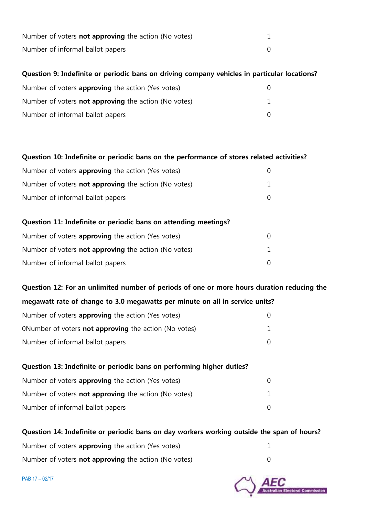| Number of voters <b>not approving</b> the action (No votes) |  |
|-------------------------------------------------------------|--|
| Number of informal ballot papers                            |  |

#### **Question 9: Indefinite or periodic bans on driving company vehicles in particular locations?**

| Number of voters <b>approving</b> the action (Yes votes)    |  |
|-------------------------------------------------------------|--|
| Number of voters <b>not approving</b> the action (No votes) |  |
| Number of informal ballot papers                            |  |

#### **Question 10: Indefinite or periodic bans on the performance of stores related activities?**

| Number of voters <b>approving</b> the action (Yes votes)    |  |
|-------------------------------------------------------------|--|
| Number of voters <b>not approving</b> the action (No votes) |  |
| Number of informal ballot papers                            |  |

# **Question 11: Indefinite or periodic bans on attending meetings?** Number of voters **approving** the action (Yes votes) 0 Number of voters **not approving** the action (No votes) 1 Number of informal ballot papers on the contract of the contract of the contract of the contract of the contract of the contract of the contract of the contract of the contract of the contract of the contract of the contra

**Question 12: For an unlimited number of periods of one or more hours duration reducing the megawatt rate of change to 3.0 megawatts per minute on all in service units?**

| Number of voters <b>approving</b> the action (Yes votes)     |  |
|--------------------------------------------------------------|--|
| ONumber of voters <b>not approving</b> the action (No votes) |  |
| Number of informal ballot papers                             |  |

# **Question 13: Indefinite or periodic bans on performing higher duties?** Number of voters **approving** the action (Yes votes) 0 Number of voters **not approving** the action (No votes) 1 Number of informal ballot papers on the contract of the contract of the contract of the contract of  $\sim 0$

#### **Question 14: Indefinite or periodic bans on day workers working outside the span of hours?**

| Number of voters <b>approving</b> the action (Yes votes)    |  |
|-------------------------------------------------------------|--|
| Number of voters <b>not approving</b> the action (No votes) |  |

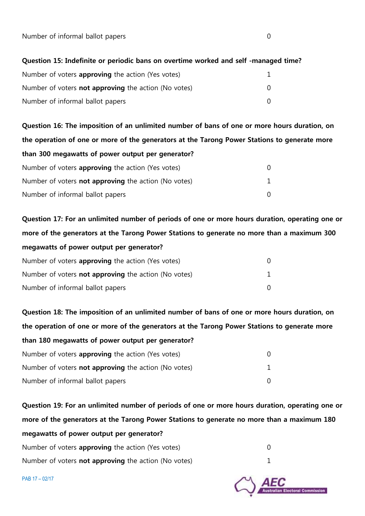Number of informal ballot papers on the contract of the contract of the contract of the contract of the contract of the contract of the contract of the contract of the contract of the contract of the contract of the contra

#### **Question 15: Indefinite or periodic bans on overtime worked and self -managed time?**

| Number of voters <b>approving</b> the action (Yes votes)    |  |
|-------------------------------------------------------------|--|
| Number of voters <b>not approving</b> the action (No votes) |  |
| Number of informal ballot papers                            |  |

**Question 16: The imposition of an unlimited number of bans of one or more hours duration, on the operation of one or more of the generators at the Tarong Power Stations to generate more than 300 megawatts of power output per generator?** Number of voters **approving** the action (Yes votes) 0 Number of voters **not approving** the action (No votes) 1 Number of informal ballot papers 0

**Question 17: For an unlimited number of periods of one or more hours duration, operating one or more of the generators at the Tarong Power Stations to generate no more than a maximum 300 megawatts of power output per generator?** Number of voters **approving** the action (Yes votes) 0

| Number of voters <b>not approving</b> the action (No votes) |  |
|-------------------------------------------------------------|--|
| Number of informal ballot papers                            |  |

**Question 18: The imposition of an unlimited number of bans of one or more hours duration, on the operation of one or more of the generators at the Tarong Power Stations to generate more than 180 megawatts of power output per generator?**

| Number of voters <b>approving</b> the action (Yes votes)    |  |
|-------------------------------------------------------------|--|
| Number of voters <b>not approving</b> the action (No votes) |  |
| Number of informal ballot papers                            |  |

**Question 19: For an unlimited number of periods of one or more hours duration, operating one or more of the generators at the Tarong Power Stations to generate no more than a maximum 180 megawatts of power output per generator?**

| Number of voters <b>approving</b> the action (Yes votes)    |  |
|-------------------------------------------------------------|--|
| Number of voters <b>not approving</b> the action (No votes) |  |

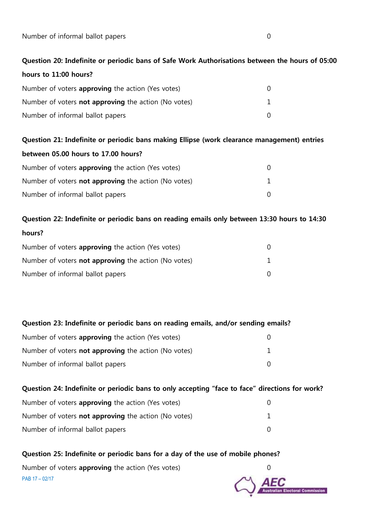Number of informal ballot papers on the contract of the contract of the contract of the contract of the contract of the contract of the contract of the contract of the contract of the contract of the contract of the contra

## **Question 20: Indefinite or periodic bans of Safe Work Authorisations between the hours of 05:00 hours to 11:00 hours?**

| Number of voters <b>approving</b> the action (Yes votes)    |  |
|-------------------------------------------------------------|--|
| Number of voters <b>not approving</b> the action (No votes) |  |
| Number of informal ballot papers                            |  |

# **Question 21: Indefinite or periodic bans making Ellipse (work clearance management) entries between 05.00 hours to 17.00 hours?** Number of voters **approving** the action (Yes votes) 0 Number of voters **not approving** the action (No votes) 1 Number of informal ballot papers 0

**Question 22: Indefinite or periodic bans on reading emails only between 13:30 hours to 14:30 hours?**

| Number of voters <b>approving</b> the action (Yes votes)    |  |
|-------------------------------------------------------------|--|
| Number of voters <b>not approving</b> the action (No votes) |  |
| Number of informal ballot papers                            |  |

**Question 23: Indefinite or periodic bans on reading emails, and/or sending emails?** Number of voters **approving** the action (Yes votes) 0 Number of voters **not approving** the action (No votes) 1 Number of informal ballot papers on the contract of the contract of the contract of the contract of the contract of the contract of the contract of the contract of the contract of the contract of the contract of the contra

| Question 24: Indefinite or periodic bans to only accepting "face to face" directions for work? |  |
|------------------------------------------------------------------------------------------------|--|
| Number of voters <b>approving</b> the action (Yes votes)                                       |  |
| Number of voters <b>not approving</b> the action (No votes)                                    |  |
| Number of informal ballot papers                                                               |  |

### PAB 17 – 02/17 **Question 25: Indefinite or periodic bans for a day of the use of mobile phones?** Number of voters **approving** the action (Yes votes) 0